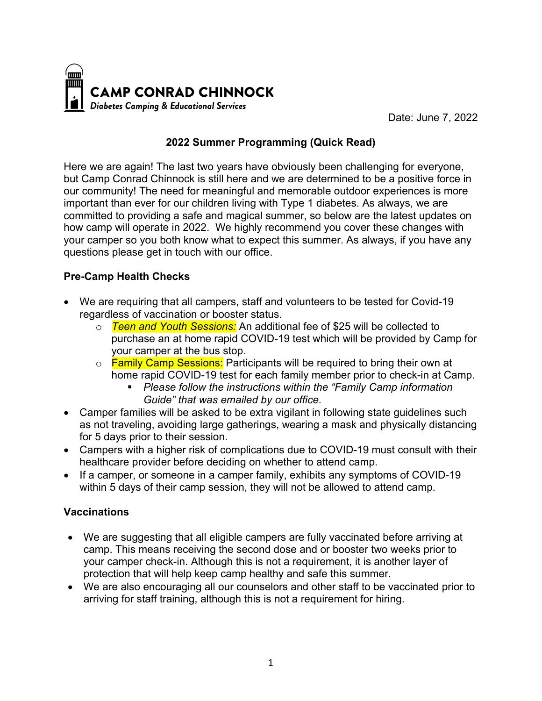

Date: June 7, 2022

# **2022 Summer Programming (Quick Read)**

Here we are again! The last two years have obviously been challenging for everyone, but Camp Conrad Chinnock is still here and we are determined to be a positive force in our community! The need for meaningful and memorable outdoor experiences is more important than ever for our children living with Type 1 diabetes. As always, we are committed to providing a safe and magical summer, so below are the latest updates on how camp will operate in 2022. We highly recommend you cover these changes with your camper so you both know what to expect this summer. As always, if you have any questions please get in touch with our office.

## **Pre-Camp Health Checks**

- We are requiring that all campers, staff and volunteers to be tested for Covid-19 regardless of vaccination or booster status.
	- o *Teen and Youth Sessions:* An additional fee of \$25 will be collected to purchase an at home rapid COVID-19 test which will be provided by Camp for your camper at the bus stop.
	- o Family Camp Sessions: Participants will be required to bring their own at home rapid COVID-19 test for each family member prior to check-in at Camp.
		- § *Please follow the instructions within the "Family Camp information Guide" that was emailed by our office.*
- Camper families will be asked to be extra vigilant in following state guidelines such as not traveling, avoiding large gatherings, wearing a mask and physically distancing for 5 days prior to their session.
- Campers with a higher risk of complications due to COVID-19 must consult with their healthcare provider before deciding on whether to attend camp.
- If a camper, or someone in a camper family, exhibits any symptoms of COVID-19 within 5 days of their camp session, they will not be allowed to attend camp.

## **Vaccinations**

- We are suggesting that all eligible campers are fully vaccinated before arriving at camp. This means receiving the second dose and or booster two weeks prior to your camper check-in. Although this is not a requirement, it is another layer of protection that will help keep camp healthy and safe this summer.
- We are also encouraging all our counselors and other staff to be vaccinated prior to arriving for staff training, although this is not a requirement for hiring.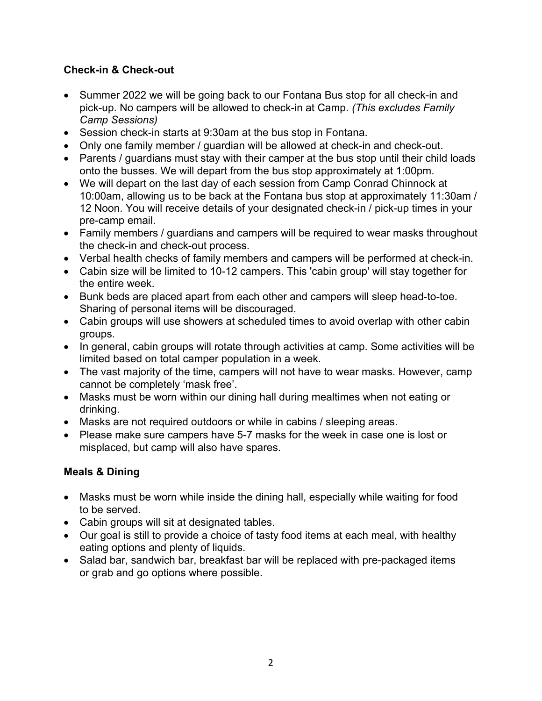# **Check-in & Check-out**

- Summer 2022 we will be going back to our Fontana Bus stop for all check-in and pick-up. No campers will be allowed to check-in at Camp. *(This excludes Family Camp Sessions)*
- Session check-in starts at 9:30am at the bus stop in Fontana.
- Only one family member / guardian will be allowed at check-in and check-out.
- Parents / guardians must stay with their camper at the bus stop until their child loads onto the busses. We will depart from the bus stop approximately at 1:00pm.
- We will depart on the last day of each session from Camp Conrad Chinnock at 10:00am, allowing us to be back at the Fontana bus stop at approximately 11:30am / 12 Noon. You will receive details of your designated check-in / pick-up times in your pre-camp email.
- Family members / guardians and campers will be required to wear masks throughout the check-in and check-out process.
- Verbal health checks of family members and campers will be performed at check-in.
- Cabin size will be limited to 10-12 campers. This 'cabin group' will stay together for the entire week.
- Bunk beds are placed apart from each other and campers will sleep head-to-toe. Sharing of personal items will be discouraged.
- Cabin groups will use showers at scheduled times to avoid overlap with other cabin groups.
- In general, cabin groups will rotate through activities at camp. Some activities will be limited based on total camper population in a week.
- The vast majority of the time, campers will not have to wear masks. However, camp cannot be completely 'mask free'.
- Masks must be worn within our dining hall during mealtimes when not eating or drinking.
- Masks are not required outdoors or while in cabins / sleeping areas.
- Please make sure campers have 5-7 masks for the week in case one is lost or misplaced, but camp will also have spares.

## **Meals & Dining**

- Masks must be worn while inside the dining hall, especially while waiting for food to be served.
- Cabin groups will sit at designated tables.
- Our goal is still to provide a choice of tasty food items at each meal, with healthy eating options and plenty of liquids.
- Salad bar, sandwich bar, breakfast bar will be replaced with pre-packaged items or grab and go options where possible.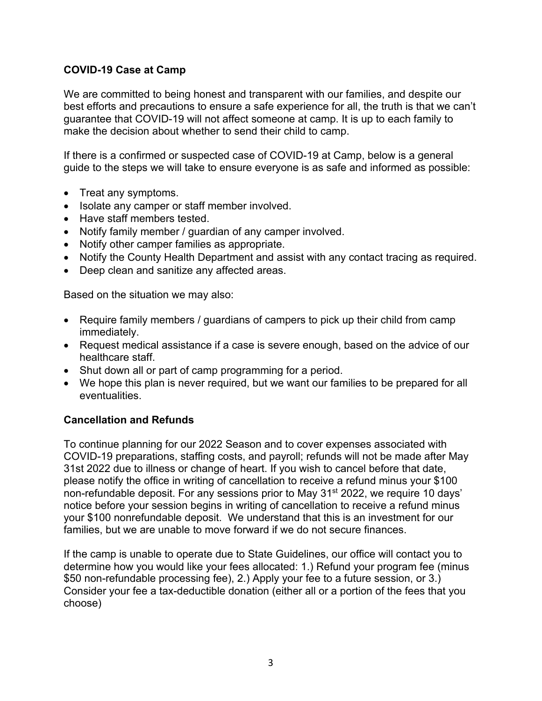#### **COVID-19 Case at Camp**

We are committed to being honest and transparent with our families, and despite our best efforts and precautions to ensure a safe experience for all, the truth is that we can't guarantee that COVID-19 will not affect someone at camp. It is up to each family to make the decision about whether to send their child to camp.

If there is a confirmed or suspected case of COVID-19 at Camp, below is a general guide to the steps we will take to ensure everyone is as safe and informed as possible:

- Treat any symptoms.
- Isolate any camper or staff member involved.
- Have staff members tested.
- Notify family member / guardian of any camper involved.
- Notify other camper families as appropriate.
- Notify the County Health Department and assist with any contact tracing as required.
- Deep clean and sanitize any affected areas.

Based on the situation we may also:

- Require family members / guardians of campers to pick up their child from camp immediately.
- Request medical assistance if a case is severe enough, based on the advice of our healthcare staff.
- Shut down all or part of camp programming for a period.
- We hope this plan is never required, but we want our families to be prepared for all eventualities.

#### **Cancellation and Refunds**

To continue planning for our 2022 Season and to cover expenses associated with COVID-19 preparations, staffing costs, and payroll; refunds will not be made after May 31st 2022 due to illness or change of heart. If you wish to cancel before that date, please notify the office in writing of cancellation to receive a refund minus your \$100 non-refundable deposit. For any sessions prior to May 31st 2022, we require 10 days' notice before your session begins in writing of cancellation to receive a refund minus your \$100 nonrefundable deposit. We understand that this is an investment for our families, but we are unable to move forward if we do not secure finances.

If the camp is unable to operate due to State Guidelines, our office will contact you to determine how you would like your fees allocated: 1.) Refund your program fee (minus \$50 non-refundable processing fee), 2.) Apply your fee to a future session, or 3.) Consider your fee a tax-deductible donation (either all or a portion of the fees that you choose)